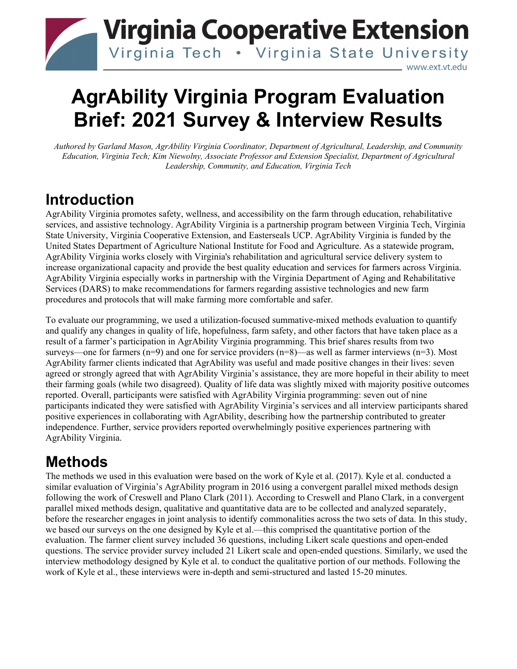# **Virginia Cooperative Extension** Virginia Tech . Virginia State University www.ext.vt.edu

# **AgrAbility Virginia Program Evaluation Brief: 2021 Survey & Interview Results**

*Authored by Garland Mason, AgrAbility Virginia Coordinator, Department of Agricultural, Leadership, and Community Education, Virginia Tech; Kim Niewolny, Associate Professor and Extension Specialist, Department of Agricultural Leadership, Community, and Education, Virginia Tech*

# **Introduction**

AgrAbility Virginia promotes safety, wellness, and accessibility on the farm through education, rehabilitative services, and assistive technology. AgrAbility Virginia is a partnership program between Virginia Tech, Virginia State University, Virginia Cooperative Extension, and Easterseals UCP. AgrAbility Virginia is funded by the United States Department of Agriculture National Institute for Food and Agriculture. As a statewide program, AgrAbility Virginia works closely with Virginia's rehabilitation and agricultural service delivery system to increase organizational capacity and provide the best quality education and services for farmers across Virginia. AgrAbility Virginia especially works in partnership with the Virginia Department of Aging and Rehabilitative Services (DARS) to make recommendations for farmers regarding assistive technologies and new farm procedures and protocols that will make farming more comfortable and safer.

To evaluate our programming, we used a utilization-focused summative-mixed methods evaluation to quantify and qualify any changes in quality of life, hopefulness, farm safety, and other factors that have taken place as a result of a farmer's participation in AgrAbility Virginia programming. This brief shares results from two surveys—one for farmers (n=9) and one for service providers (n=8)—as well as farmer interviews (n=3). Most AgrAbility farmer clients indicated that AgrAbility was useful and made positive changes in their lives: seven agreed or strongly agreed that with AgrAbility Virginia's assistance, they are more hopeful in their ability to meet their farming goals (while two disagreed). Quality of life data was slightly mixed with majority positive outcomes reported. Overall, participants were satisfied with AgrAbility Virginia programming: seven out of nine participants indicated they were satisfied with AgrAbility Virginia's services and all interview participants shared positive experiences in collaborating with AgrAbility, describing how the partnership contributed to greater independence. Further, service providers reported overwhelmingly positive experiences partnering with AgrAbility Virginia.

# **Methods**

The methods we used in this evaluation were based on the work of Kyle et al. (2017). Kyle et al. conducted a similar evaluation of Virginia's AgrAbility program in 2016 using a convergent parallel mixed methods design following the work of Creswell and Plano Clark (2011). According to Creswell and Plano Clark, in a convergent parallel mixed methods design, qualitative and quantitative data are to be collected and analyzed separately, before the researcher engages in joint analysis to identify commonalities across the two sets of data. In this study, we based our surveys on the one designed by Kyle et al.—this comprised the quantitative portion of the evaluation. The farmer client survey included 36 questions, including Likert scale questions and open-ended questions. The service provider survey included 21 Likert scale and open-ended questions. Similarly, we used the interview methodology designed by Kyle et al. to conduct the qualitative portion of our methods. Following the work of Kyle et al., these interviews were in-depth and semi-structured and lasted 15-20 minutes.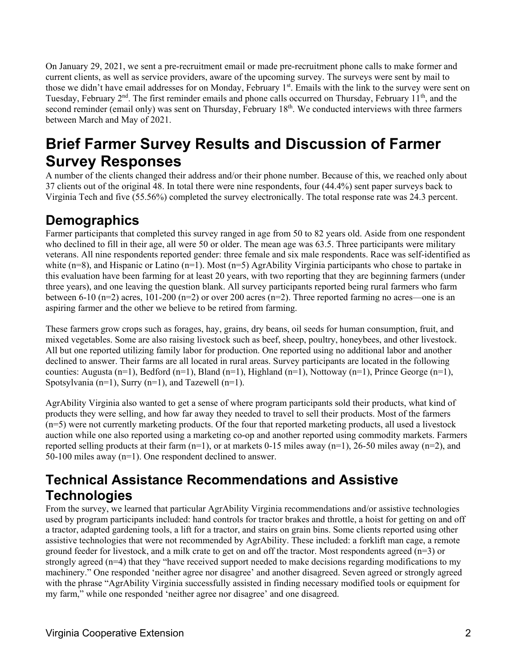On January 29, 2021, we sent a pre-recruitment email or made pre-recruitment phone calls to make former and current clients, as well as service providers, aware of the upcoming survey. The surveys were sent by mail to those we didn't have email addresses for on Monday, February 1<sup>st</sup>. Emails with the link to the survey were sent on Tuesday, February 2<sup>nd</sup>. The first reminder emails and phone calls occurred on Thursday, February 11<sup>th</sup>, and the second reminder (email only) was sent on Thursday, February 18<sup>th</sup>. We conducted interviews with three farmers between March and May of 2021.

# **Brief Farmer Survey Results and Discussion of Farmer Survey Responses**

A number of the clients changed their address and/or their phone number. Because of this, we reached only about 37 clients out of the original 48. In total there were nine respondents, four (44.4%) sent paper surveys back to Virginia Tech and five (55.56%) completed the survey electronically. The total response rate was 24.3 percent.

## **Demographics**

Farmer participants that completed this survey ranged in age from 50 to 82 years old. Aside from one respondent who declined to fill in their age, all were 50 or older. The mean age was 63.5. Three participants were military veterans. All nine respondents reported gender: three female and six male respondents. Race was self-identified as white ( $n=8$ ), and Hispanic or Latino ( $n=1$ ). Most ( $n=5$ ) AgrAbility Virginia participants who chose to partake in this evaluation have been farming for at least 20 years, with two reporting that they are beginning farmers (under three years), and one leaving the question blank. All survey participants reported being rural farmers who farm between 6-10 (n=2) acres, 101-200 (n=2) or over 200 acres (n=2). Three reported farming no acres—one is an aspiring farmer and the other we believe to be retired from farming.

These farmers grow crops such as forages, hay, grains, dry beans, oil seeds for human consumption, fruit, and mixed vegetables. Some are also raising livestock such as beef, sheep, poultry, honeybees, and other livestock. All but one reported utilizing family labor for production. One reported using no additional labor and another declined to answer. Their farms are all located in rural areas. Survey participants are located in the following counties: Augusta (n=1), Bedford (n=1), Bland (n=1), Highland (n=1), Nottoway (n=1), Prince George (n=1), Spotsylvania (n=1), Surry (n=1), and Tazewell (n=1).

AgrAbility Virginia also wanted to get a sense of where program participants sold their products, what kind of products they were selling, and how far away they needed to travel to sell their products. Most of the farmers (n=5) were not currently marketing products. Of the four that reported marketing products, all used a livestock auction while one also reported using a marketing co-op and another reported using commodity markets. Farmers reported selling products at their farm  $(n=1)$ , or at markets 0-15 miles away  $(n=1)$ , 26-50 miles away  $(n=2)$ , and 50-100 miles away (n=1). One respondent declined to answer.

## **Technical Assistance Recommendations and Assistive Technologies**

From the survey, we learned that particular AgrAbility Virginia recommendations and/or assistive technologies used by program participants included: hand controls for tractor brakes and throttle, a hoist for getting on and off a tractor, adapted gardening tools, a lift for a tractor, and stairs on grain bins. Some clients reported using other assistive technologies that were not recommended by AgrAbility. These included: a forklift man cage, a remote ground feeder for livestock, and a milk crate to get on and off the tractor. Most respondents agreed (n=3) or strongly agreed (n=4) that they "have received support needed to make decisions regarding modifications to my machinery." One responded 'neither agree nor disagree' and another disagreed. Seven agreed or strongly agreed with the phrase "AgrAbility Virginia successfully assisted in finding necessary modified tools or equipment for my farm," while one responded 'neither agree nor disagree' and one disagreed.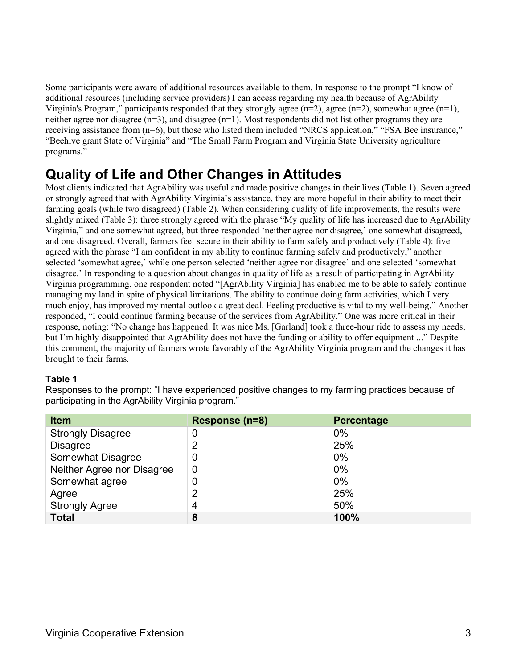Some participants were aware of additional resources available to them. In response to the prompt "I know of additional resources (including service providers) I can access regarding my health because of AgrAbility Virginia's Program," participants responded that they strongly agree  $(n=2)$ , agree  $(n=2)$ , somewhat agree  $(n=1)$ , neither agree nor disagree  $(n=3)$ , and disagree  $(n=1)$ . Most respondents did not list other programs they are receiving assistance from (n=6), but those who listed them included "NRCS application," "FSA Bee insurance," "Beehive grant State of Virginia" and "The Small Farm Program and Virginia State University agriculture programs."

### **Quality of Life and Other Changes in Attitudes**

Most clients indicated that AgrAbility was useful and made positive changes in their lives (Table 1). Seven agreed or strongly agreed that with AgrAbility Virginia's assistance, they are more hopeful in their ability to meet their farming goals (while two disagreed) (Table 2). When considering quality of life improvements, the results were slightly mixed (Table 3): three strongly agreed with the phrase "My quality of life has increased due to AgrAbility Virginia," and one somewhat agreed, but three responded 'neither agree nor disagree,' one somewhat disagreed, and one disagreed. Overall, farmers feel secure in their ability to farm safely and productively (Table 4): five agreed with the phrase "I am confident in my ability to continue farming safely and productively," another selected 'somewhat agree,' while one person selected 'neither agree nor disagree' and one selected 'somewhat disagree.' In responding to a question about changes in quality of life as a result of participating in AgrAbility Virginia programming, one respondent noted "[AgrAbility Virginia] has enabled me to be able to safely continue managing my land in spite of physical limitations. The ability to continue doing farm activities, which I very much enjoy, has improved my mental outlook a great deal. Feeling productive is vital to my well-being." Another responded, "I could continue farming because of the services from AgrAbility." One was more critical in their response, noting: "No change has happened. It was nice Ms. [Garland] took a three-hour ride to assess my needs, but I'm highly disappointed that AgrAbility does not have the funding or ability to offer equipment ..." Despite this comment, the majority of farmers wrote favorably of the AgrAbility Virginia program and the changes it has brought to their farms.

#### **Table 1**

Responses to the prompt: "I have experienced positive changes to my farming practices because of participating in the AgrAbility Virginia program."

| <b>Item</b>                | Response (n=8) | <b>Percentage</b> |
|----------------------------|----------------|-------------------|
| <b>Strongly Disagree</b>   | 0              | $0\%$             |
| <b>Disagree</b>            | 2              | 25%               |
| <b>Somewhat Disagree</b>   | 0              | $0\%$             |
| Neither Agree nor Disagree | $\overline{0}$ | 0%                |
| Somewhat agree             | 0              | $0\%$             |
| Agree                      | っ              | 25%               |
| <b>Strongly Agree</b>      | 4              | 50%               |
| <b>Total</b>               | 8              | 100%              |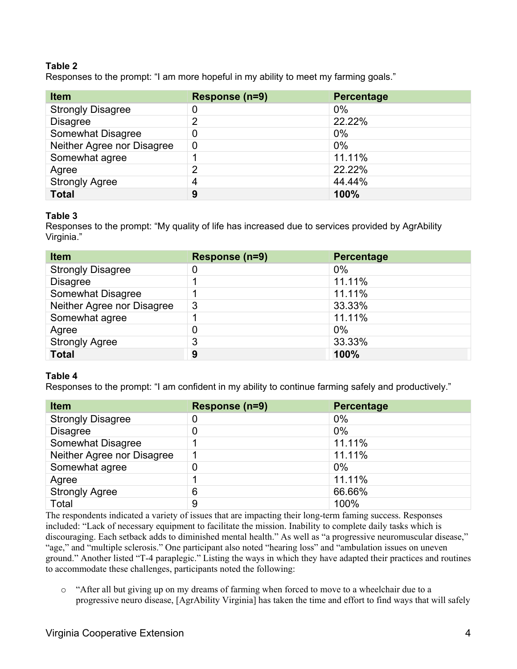#### **Table 2**

Responses to the prompt: "I am more hopeful in my ability to meet my farming goals."

| <b>Item</b>                | Response (n=9) | <b>Percentage</b> |
|----------------------------|----------------|-------------------|
| <b>Strongly Disagree</b>   | 0              | $0\%$             |
| <b>Disagree</b>            | っ              | 22.22%            |
| <b>Somewhat Disagree</b>   | 0              | $0\%$             |
| Neither Agree nor Disagree | $\overline{0}$ | $0\%$             |
| Somewhat agree             |                | 11.11%            |
| Agree                      | 2              | 22.22%            |
| <b>Strongly Agree</b>      | 4              | 44.44%            |
| <b>Total</b>               | 9              | 100%              |

#### **Table 3**

Responses to the prompt: "My quality of life has increased due to services provided by AgrAbility Virginia."

| <b>Item</b>                | Response (n=9) | <b>Percentage</b> |
|----------------------------|----------------|-------------------|
| <b>Strongly Disagree</b>   | 0              | $0\%$             |
| <b>Disagree</b>            |                | 11.11%            |
| <b>Somewhat Disagree</b>   |                | 11.11%            |
| Neither Agree nor Disagree | 3              | 33.33%            |
| Somewhat agree             |                | 11.11%            |
| Agree                      | 0              | $0\%$             |
| <b>Strongly Agree</b>      | 3              | 33.33%            |
| <b>Total</b>               | 9              | 100%              |

#### **Table 4**

Responses to the prompt: "I am confident in my ability to continue farming safely and productively."

| <b>Item</b>                | Response (n=9) | <b>Percentage</b> |
|----------------------------|----------------|-------------------|
| <b>Strongly Disagree</b>   | 0              | $0\%$             |
| <b>Disagree</b>            | 0              | $0\%$             |
| <b>Somewhat Disagree</b>   |                | 11.11%            |
| Neither Agree nor Disagree |                | 11.11%            |
| Somewhat agree             | 0              | $0\%$             |
| Agree                      |                | 11.11%            |
| <b>Strongly Agree</b>      | 6              | 66.66%            |
| Total                      | 9              | 100%              |

The respondents indicated a variety of issues that are impacting their long-term faming success. Responses included: "Lack of necessary equipment to facilitate the mission. Inability to complete daily tasks which is discouraging. Each setback adds to diminished mental health." As well as "a progressive neuromuscular disease," "age," and "multiple sclerosis." One participant also noted "hearing loss" and "ambulation issues on uneven ground." Another listed "T-4 paraplegic." Listing the ways in which they have adapted their practices and routines to accommodate these challenges, participants noted the following:

o "After all but giving up on my dreams of farming when forced to move to a wheelchair due to a progressive neuro disease, [AgrAbility Virginia] has taken the time and effort to find ways that will safely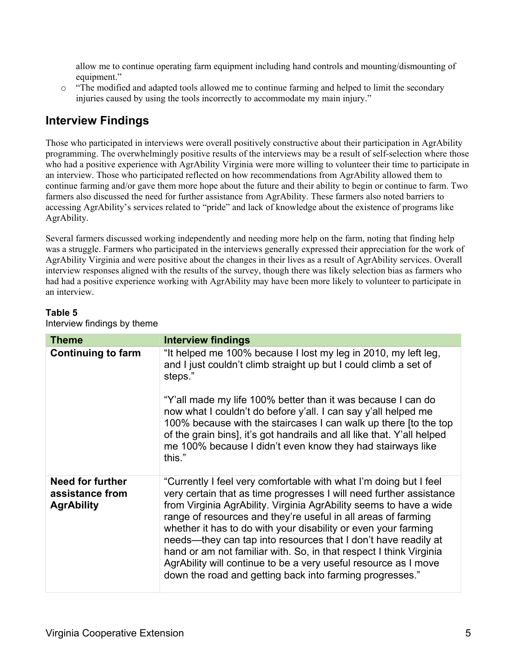allow me to continue operating farm equipment including hand controls and mounting/dismounting of equipment."

o "The modified and adapted tools allowed me to continue farming and helped to limit the secondary injuries caused by using the tools incorrectly to accommodate my main injury."

### **Interview Findings**

Those who participated in interviews were overall positively constructive about their participation in AgrAbility programming. The overwhelmingly positive results of the interviews may be a result of self-selection where those who had a positive experience with AgrAbility Virginia were more willing to volunteer their time to participate in an interview. Those who participated reflected on how recommendations from AgrAbility allowed them to continue farming and/or gave them more hope about the future and their ability to begin or continue to farm. Two farmers also discussed the need for further assistance from AgrAbility. These farmers also noted barriers to accessing AgrAbility's services related to "pride" and lack of knowledge about the existence of programs like AgrAbility.

Several farmers discussed working independently and needing more help on the farm, noting that finding help was a struggle. Farmers who participated in the interviews generally expressed their appreciation for the work of AgrAbility Virginia and were positive about the changes in their lives as a result of AgrAbility services. Overall interview responses aligned with the results of the survey, though there was likely selection bias as farmers who had had a positive experience working with AgrAbility may have been more likely to volunteer to participate in an interview.

#### **Table 5** Interview findings by theme

| <b>Theme</b>                                             | <b>Interview findings</b>                                                                                                                                                                                                                                                                                                                                                                                                                                                                                                                                                                                                |
|----------------------------------------------------------|--------------------------------------------------------------------------------------------------------------------------------------------------------------------------------------------------------------------------------------------------------------------------------------------------------------------------------------------------------------------------------------------------------------------------------------------------------------------------------------------------------------------------------------------------------------------------------------------------------------------------|
| <b>Continuing to farm</b>                                | "It helped me 100% because I lost my leg in 2010, my left leg,<br>and I just couldn't climb straight up but I could climb a set of<br>steps."<br>"Y'all made my life 100% better than it was because I can do<br>now what I couldn't do before y'all. I can say y'all helped me<br>100% because with the staircases I can walk up there [to the top<br>of the grain bins], it's got handrails and all like that. Y'all helped<br>me 100% because I didn't even know they had stairways like<br>this."                                                                                                                    |
| Need for further<br>assistance from<br><b>AgrAbility</b> | "Currently I feel very comfortable with what I'm doing but I feel<br>very certain that as time progresses I will need further assistance<br>from Virginia AgrAbility. Virginia AgrAbility seems to have a wide<br>range of resources and they're useful in all areas of farming<br>whether it has to do with your disability or even your farming<br>needs-they can tap into resources that I don't have readily at<br>hand or am not familiar with. So, in that respect I think Virginia<br>AgrAbility will continue to be a very useful resource as I move<br>down the road and getting back into farming progresses." |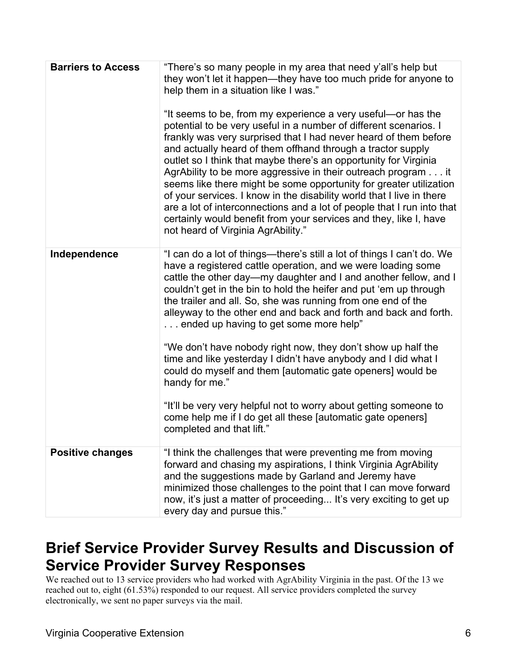| <b>Barriers to Access</b> | "There's so many people in my area that need y'all's help but<br>they won't let it happen—they have too much pride for anyone to<br>help them in a situation like I was."<br>"It seems to be, from my experience a very useful—or has the<br>potential to be very useful in a number of different scenarios. I<br>frankly was very surprised that I had never heard of them before<br>and actually heard of them offhand through a tractor supply<br>outlet so I think that maybe there's an opportunity for Virginia<br>AgrAbility to be more aggressive in their outreach program it<br>seems like there might be some opportunity for greater utilization<br>of your services. I know in the disability world that I live in there<br>are a lot of interconnections and a lot of people that I run into that<br>certainly would benefit from your services and they, like I, have<br>not heard of Virginia AgrAbility." |
|---------------------------|----------------------------------------------------------------------------------------------------------------------------------------------------------------------------------------------------------------------------------------------------------------------------------------------------------------------------------------------------------------------------------------------------------------------------------------------------------------------------------------------------------------------------------------------------------------------------------------------------------------------------------------------------------------------------------------------------------------------------------------------------------------------------------------------------------------------------------------------------------------------------------------------------------------------------|
| Independence              | "I can do a lot of things—there's still a lot of things I can't do. We<br>have a registered cattle operation, and we were loading some<br>cattle the other day—my daughter and I and another fellow, and I<br>couldn't get in the bin to hold the heifer and put 'em up through<br>the trailer and all. So, she was running from one end of the<br>alleyway to the other end and back and forth and back and forth.<br>ended up having to get some more help"<br>"We don't have nobody right now, they don't show up half the<br>time and like yesterday I didn't have anybody and I did what I<br>could do myself and them [automatic gate openers] would be<br>handy for me."<br>"It'll be very very helpful not to worry about getting someone to<br>come help me if I do get all these [automatic gate openers]<br>completed and that lift."                                                                           |
| <b>Positive changes</b>   | "I think the challenges that were preventing me from moving<br>forward and chasing my aspirations, I think Virginia AgrAbility<br>and the suggestions made by Garland and Jeremy have<br>minimized those challenges to the point that I can move forward<br>now, it's just a matter of proceeding It's very exciting to get up<br>every day and pursue this."                                                                                                                                                                                                                                                                                                                                                                                                                                                                                                                                                              |

# **Brief Service Provider Survey Results and Discussion of Service Provider Survey Responses**

We reached out to 13 service providers who had worked with AgrAbility Virginia in the past. Of the 13 we reached out to, eight (61.53%) responded to our request. All service providers completed the survey electronically, we sent no paper surveys via the mail.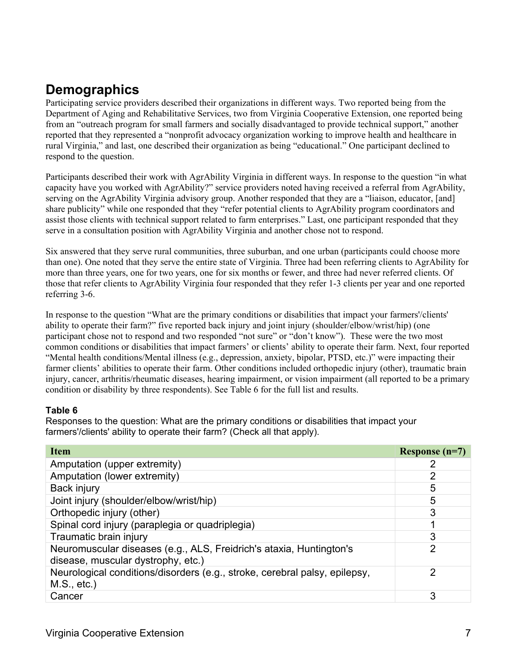## **Demographics**

Participating service providers described their organizations in different ways. Two reported being from the Department of Aging and Rehabilitative Services, two from Virginia Cooperative Extension, one reported being from an "outreach program for small farmers and socially disadvantaged to provide technical support," another reported that they represented a "nonprofit advocacy organization working to improve health and healthcare in rural Virginia," and last, one described their organization as being "educational." One participant declined to respond to the question.

Participants described their work with AgrAbility Virginia in different ways. In response to the question "in what capacity have you worked with AgrAbility?" service providers noted having received a referral from AgrAbility, serving on the AgrAbility Virginia advisory group. Another responded that they are a "liaison, educator, [and] share publicity" while one responded that they "refer potential clients to AgrAbility program coordinators and assist those clients with technical support related to farm enterprises." Last, one participant responded that they serve in a consultation position with AgrAbility Virginia and another chose not to respond.

Six answered that they serve rural communities, three suburban, and one urban (participants could choose more than one). One noted that they serve the entire state of Virginia. Three had been referring clients to AgrAbility for more than three years, one for two years, one for six months or fewer, and three had never referred clients. Of those that refer clients to AgrAbility Virginia four responded that they refer 1-3 clients per year and one reported referring 3-6.

In response to the question "What are the primary conditions or disabilities that impact your farmers'/clients' ability to operate their farm?" five reported back injury and joint injury (shoulder/elbow/wrist/hip) (one participant chose not to respond and two responded "not sure" or "don't know"). These were the two most common conditions or disabilities that impact farmers' or clients' ability to operate their farm. Next, four reported "Mental health conditions/Mental illness (e.g., depression, anxiety, bipolar, PTSD, etc.)" were impacting their farmer clients' abilities to operate their farm. Other conditions included orthopedic injury (other), traumatic brain injury, cancer, arthritis/rheumatic diseases, hearing impairment, or vision impairment (all reported to be a primary condition or disability by three respondents). See Table 6 for the full list and results.

#### **Table 6**

Responses to the question: What are the primary conditions or disabilities that impact your farmers'/clients' ability to operate their farm? (Check all that apply).

| <b>Item</b>                                                                                               | Response $(n=7)$ |
|-----------------------------------------------------------------------------------------------------------|------------------|
| Amputation (upper extremity)                                                                              |                  |
| Amputation (lower extremity)                                                                              | 2                |
| Back injury                                                                                               | 5                |
| Joint injury (shoulder/elbow/wrist/hip)                                                                   | 5                |
| Orthopedic injury (other)                                                                                 | 3                |
| Spinal cord injury (paraplegia or quadriplegia)                                                           |                  |
| Traumatic brain injury                                                                                    | 3                |
| Neuromuscular diseases (e.g., ALS, Freidrich's ataxia, Huntington's<br>disease, muscular dystrophy, etc.) | 2                |
| Neurological conditions/disorders (e.g., stroke, cerebral palsy, epilepsy,<br>$M.S., etc.$ )              | 2                |
| Cancer                                                                                                    | 3                |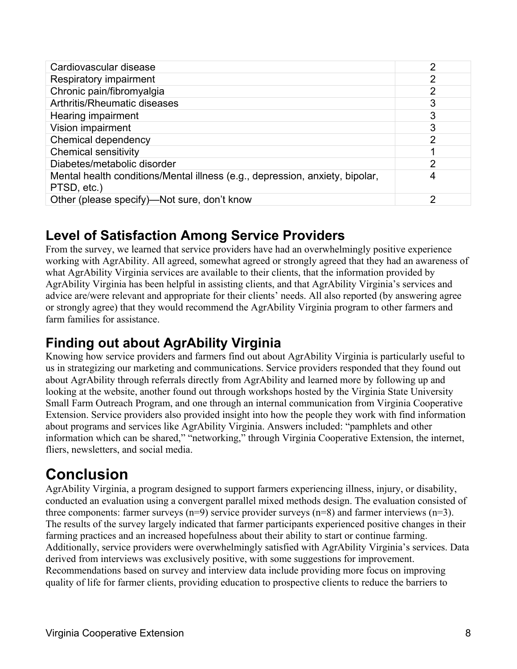| Cardiovascular disease                                                                      | 2              |
|---------------------------------------------------------------------------------------------|----------------|
| Respiratory impairment                                                                      | 2              |
| Chronic pain/fibromyalgia                                                                   | $\overline{2}$ |
| Arthritis/Rheumatic diseases                                                                | 3              |
| Hearing impairment                                                                          | 3              |
| Vision impairment                                                                           | 3              |
| Chemical dependency                                                                         | $\overline{2}$ |
| <b>Chemical sensitivity</b>                                                                 |                |
| Diabetes/metabolic disorder                                                                 | $\mathcal{P}$  |
| Mental health conditions/Mental illness (e.g., depression, anxiety, bipolar,<br>PTSD, etc.) |                |
| Other (please specify)—Not sure, don't know                                                 | っ              |

## **Level of Satisfaction Among Service Providers**

From the survey, we learned that service providers have had an overwhelmingly positive experience working with AgrAbility. All agreed, somewhat agreed or strongly agreed that they had an awareness of what AgrAbility Virginia services are available to their clients, that the information provided by AgrAbility Virginia has been helpful in assisting clients, and that AgrAbility Virginia's services and advice are/were relevant and appropriate for their clients' needs. All also reported (by answering agree or strongly agree) that they would recommend the AgrAbility Virginia program to other farmers and farm families for assistance.

# **Finding out about AgrAbility Virginia**

Knowing how service providers and farmers find out about AgrAbility Virginia is particularly useful to us in strategizing our marketing and communications. Service providers responded that they found out about AgrAbility through referrals directly from AgrAbility and learned more by following up and looking at the website, another found out through workshops hosted by the Virginia State University Small Farm Outreach Program, and one through an internal communication from Virginia Cooperative Extension. Service providers also provided insight into how the people they work with find information about programs and services like AgrAbility Virginia. Answers included: "pamphlets and other information which can be shared," "networking," through Virginia Cooperative Extension, the internet, fliers, newsletters, and social media.

# **Conclusion**

AgrAbility Virginia, a program designed to support farmers experiencing illness, injury, or disability, conducted an evaluation using a convergent parallel mixed methods design. The evaluation consisted of three components: farmer surveys  $(n=9)$  service provider surveys  $(n=8)$  and farmer interviews  $(n=3)$ . The results of the survey largely indicated that farmer participants experienced positive changes in their farming practices and an increased hopefulness about their ability to start or continue farming. Additionally, service providers were overwhelmingly satisfied with AgrAbility Virginia's services. Data derived from interviews was exclusively positive, with some suggestions for improvement. Recommendations based on survey and interview data include providing more focus on improving quality of life for farmer clients, providing education to prospective clients to reduce the barriers to